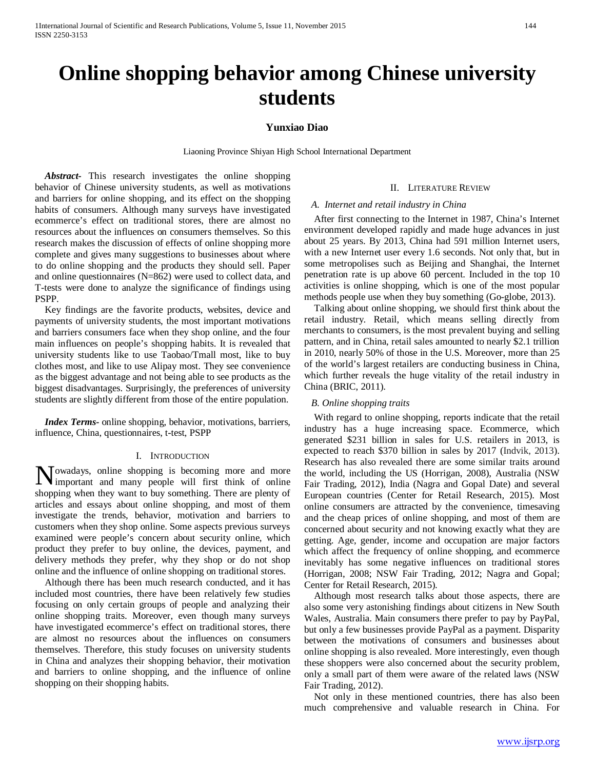# **Online shopping behavior among Chinese university students**

## **Yunxiao Diao**

Liaoning Province Shiyan High School International Department

*Abstract-* This research investigates the online shopping behavior of Chinese university students, as well as motivations and barriers for online shopping, and its effect on the shopping habits of consumers. Although many surveys have investigated ecommerce's effect on traditional stores, there are almost no resources about the influences on consumers themselves. So this research makes the discussion of effects of online shopping more complete and gives many suggestions to businesses about where to do online shopping and the products they should sell. Paper and online questionnaires (N=862) were used to collect data, and T-tests were done to analyze the significance of findings using PSPP.

Key findings are the favorite products, websites, device and payments of university students, the most important motivations and barriers consumers face when they shop online, and the four main influences on people's shopping habits. It is revealed that university students like to use Taobao/Tmall most, like to buy clothes most, and like to use Alipay most. They see convenience as the biggest advantage and not being able to see products as the biggest disadvantages. Surprisingly, the preferences of university students are slightly different from those of the entire population.

*Index Terms-* online shopping, behavior, motivations, barriers, influence, China, questionnaires, t-test, PSPP

#### I. INTRODUCTION

Nowadays, online shopping is becoming more and more important and many people will first think of online important and many people will first think of online shopping when they want to buy something. There are plenty of articles and essays about online shopping, and most of them investigate the trends, behavior, motivation and barriers to customers when they shop online. Some aspects previous surveys examined were people's concern about security online, which product they prefer to buy online, the devices, payment, and delivery methods they prefer, why they shop or do not shop online and the influence of online shopping on traditional stores.

Although there has been much research conducted, and it has included most countries, there have been relatively few studies focusing on only certain groups of people and analyzing their online shopping traits. Moreover, even though many surveys have investigated ecommerce's effect on traditional stores, there are almost no resources about the influences on consumers themselves. Therefore, this study focuses on university students in China and analyzes their shopping behavior, their motivation and barriers to online shopping, and the influence of online shopping on their shopping habits.

## II. LITERATURE REVIEW

#### *A. Internet and retail industry in China*

After first connecting to the Internet in 1987, China's Internet environment developed rapidly and made huge advances in just about 25 years. By 2013, China had 591 million Internet users, with a new Internet user every 1.6 seconds. Not only that, but in some metropolises such as Beijing and Shanghai, the Internet penetration rate is up above 60 percent. Included in the top 10 activities is online shopping, which is one of the most popular methods people use when they buy something (Go-globe, 2013).

Talking about online shopping, we should first think about the retail industry. Retail, which means selling directly from merchants to consumers, is the most prevalent buying and selling pattern, and in China, retail sales amounted to nearly \$2.1 trillion in 2010, nearly 50% of those in the U.S. Moreover, more than 25 of the world's largest retailers are conducting business in China, which further reveals the huge vitality of the retail industry in China (BRIC, 2011).

#### *B. Online shopping traits*

With regard to online shopping, reports indicate that the retail industry has a huge increasing space. Ecommerce, which generated \$231 billion in sales for U.S. retailers in 2013, is expected to reach \$370 billion in sales by 2017 (Indvik, 2013). Research has also revealed there are some similar traits around the world, including the US (Horrigan, 2008), Australia (NSW Fair Trading, 2012), India (Nagra and Gopal Date) and several European countries (Center for Retail Research, 2015). Most online consumers are attracted by the convenience, timesaving and the cheap prices of online shopping, and most of them are concerned about security and not knowing exactly what they are getting. Age, gender, income and occupation are major factors which affect the frequency of online shopping, and ecommerce inevitably has some negative influences on traditional stores (Horrigan, 2008; NSW Fair Trading, 2012; Nagra and Gopal; Center for Retail Research, 2015).

Although most research talks about those aspects, there are also some very astonishing findings about citizens in New South Wales, Australia. Main consumers there prefer to pay by PayPal, but only a few businesses provide PayPal as a payment. Disparity between the motivations of consumers and businesses about online shopping is also revealed. More interestingly, even though these shoppers were also concerned about the security problem, only a small part of them were aware of the related laws (NSW Fair Trading, 2012).

Not only in these mentioned countries, there has also been much comprehensive and valuable research in China. For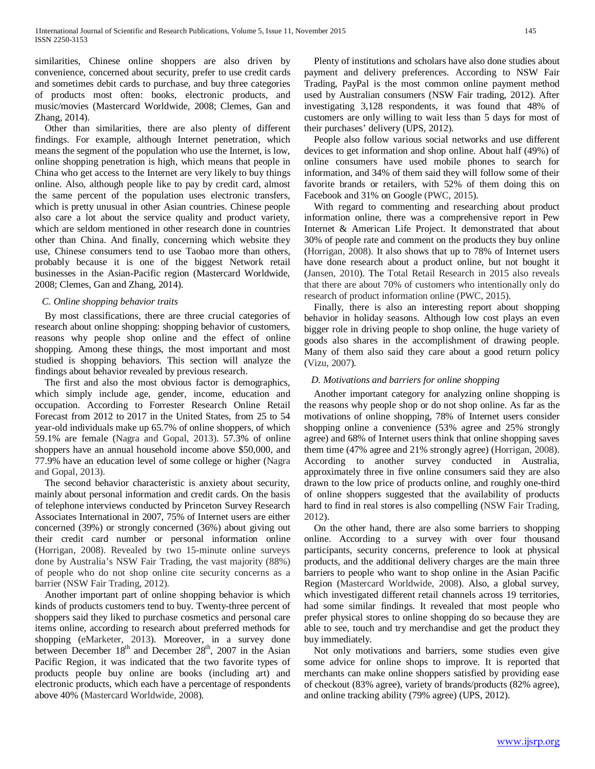similarities, Chinese online shoppers are also driven by convenience, concerned about security, prefer to use credit cards and sometimes debit cards to purchase, and buy three categories of products most often: books, electronic products, and music/movies (Mastercard Worldwide, 2008; Clemes, Gan and Zhang, 2014).

Other than similarities, there are also plenty of different findings. For example, although Internet penetration, which means the segment of the population who use the Internet, is low, online shopping penetration is high, which means that people in China who get access to the Internet are very likely to buy things online. Also, although people like to pay by credit card, almost the same percent of the population uses electronic transfers, which is pretty unusual in other Asian countries. Chinese people also care a lot about the service quality and product variety, which are seldom mentioned in other research done in countries other than China. And finally, concerning which website they use, Chinese consumers tend to use Taobao more than others, probably because it is one of the biggest Network retail businesses in the Asian-Pacific region (Mastercard Worldwide, 2008; Clemes, Gan and Zhang, 2014).

## *C. Online shopping behavior traits*

By most classifications, there are three crucial categories of research about online shopping: shopping behavior of customers, reasons why people shop online and the effect of online shopping. Among these things, the most important and most studied is shopping behaviors. This section will analyze the findings about behavior revealed by previous research.

The first and also the most obvious factor is demographics, which simply include age, gender, income, education and occupation. According to Forrester Research Online Retail Forecast from 2012 to 2017 in the United States, from 25 to 54 year-old individuals make up 65.7% of online shoppers, of which 59.1% are female (Nagra and Gopal, 2013). 57.3% of online shoppers have an annual household income above \$50,000, and 77.9% have an education level of some college or higher (Nagra and Gopal, 2013).

The second behavior characteristic is anxiety about security, mainly about personal information and credit cards. On the basis of telephone interviews conducted by Princeton Survey Research Associates International in 2007, 75% of Internet users are either concerned (39%) or strongly concerned (36%) about giving out their credit card number or personal information online (Horrigan, 2008). Revealed by two 15-minute online surveys done by Australia's NSW Fair Trading, the vast majority (88%) of people who do not shop online cite security concerns as a barrier (NSW Fair Trading, 2012).

Another important part of online shopping behavior is which kinds of products customers tend to buy. Twenty-three percent of shoppers said they liked to purchase cosmetics and personal care items online, according to research about preferred methods for shopping (eMarketer, 2013). Moreover, in a survey done between December  $18<sup>th</sup>$  and December  $28<sup>th</sup>$ , 2007 in the Asian Pacific Region, it was indicated that the two favorite types of products people buy online are books (including art) and electronic products, which each have a percentage of respondents above 40% (Mastercard Worldwide, 2008).

Plenty of institutions and scholars have also done studies about payment and delivery preferences. According to NSW Fair Trading, PayPal is the most common online payment method used by Australian consumers (NSW Fair trading, 2012). After investigating 3,128 respondents, it was found that 48% of customers are only willing to wait less than 5 days for most of their purchases' delivery (UPS, 2012).

People also follow various social networks and use different devices to get information and shop online. About half (49%) of online consumers have used mobile phones to search for information, and 34% of them said they will follow some of their favorite brands or retailers, with 52% of them doing this on Facebook and 31% on Google (PWC, 2015).

With regard to commenting and researching about product information online, there was a comprehensive report in Pew Internet & American Life Project. It demonstrated that about 30% of people rate and comment on the products they buy online (Horrigan, 2008). It also shows that up to 78% of Internet users have done research about a product online, but not bought it (Jansen, 2010). The Total Retail Research in 2015 also reveals that there are about 70% of customers who intentionally only do research of product information online (PWC, 2015).

Finally, there is also an interesting report about shopping behavior in holiday seasons. Although low cost plays an even bigger role in driving people to shop online, the huge variety of goods also shares in the accomplishment of drawing people. Many of them also said they care about a good return policy (Vizu, 2007).

# *D. Motivations and barriers for online shopping*

Another important category for analyzing online shopping is the reasons why people shop or do not shop online. As far as the motivations of online shopping, 78% of Internet users consider shopping online a convenience (53% agree and 25% strongly agree) and 68% of Internet users think that online shopping saves them time (47% agree and 21% strongly agree) (Horrigan, 2008). According to another survey conducted in Australia, approximately three in five online consumers said they are also drawn to the low price of products online, and roughly one-third of online shoppers suggested that the availability of products hard to find in real stores is also compelling (NSW Fair Trading, 2012).

On the other hand, there are also some barriers to shopping online. According to a survey with over four thousand participants, security concerns, preference to look at physical products, and the additional delivery charges are the main three barriers to people who want to shop online in the Asian Pacific Region (Mastercard Worldwide, 2008). Also, a global survey, which investigated different retail channels across 19 territories, had some similar findings. It revealed that most people who prefer physical stores to online shopping do so because they are able to see, touch and try merchandise and get the product they buy immediately.

Not only motivations and barriers, some studies even give some advice for online shops to improve. It is reported that merchants can make online shoppers satisfied by providing ease of checkout (83% agree), variety of brands/products (82% agree), and online tracking ability (79% agree) (UPS, 2012).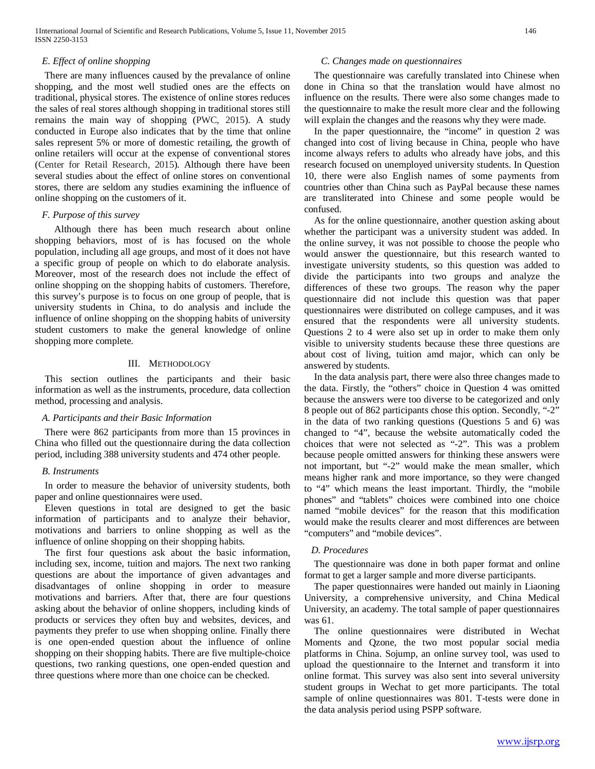# *E. Effect of online shopping*

There are many influences caused by the prevalance of online shopping, and the most well studied ones are the effects on traditional, physical stores. The existence of online stores reduces the sales of real stores although shopping in traditional stores still remains the main way of shopping (PWC, 2015). A study conducted in Europe also indicates that by the time that online sales represent 5% or more of domestic retailing, the growth of online retailers will occur at the expense of conventional stores (Center for Retail Research, 2015). Although there have been several studies about the effect of online stores on conventional stores, there are seldom any studies examining the influence of online shopping on the customers of it.

## *F. Purpose of this survey*

Although there has been much research about online shopping behaviors, most of is has focused on the whole population, including all age groups, and most of it does not have a specific group of people on which to do elaborate analysis. Moreover, most of the research does not include the effect of online shopping on the shopping habits of customers. Therefore, this survey's purpose is to focus on one group of people, that is university students in China, to do analysis and include the influence of online shopping on the shopping habits of university student customers to make the general knowledge of online shopping more complete.

## III. METHODOLOGY

This section outlines the participants and their basic information as well as the instruments, procedure, data collection method, processing and analysis.

#### *A. Participants and their Basic Information*

There were 862 participants from more than 15 provinces in China who filled out the questionnaire during the data collection period, including 388 university students and 474 other people.

#### *B. Instruments*

In order to measure the behavior of university students, both paper and online questionnaires were used.

Eleven questions in total are designed to get the basic information of participants and to analyze their behavior, motivations and barriers to online shopping as well as the influence of online shopping on their shopping habits.

The first four questions ask about the basic information, including sex, income, tuition and majors. The next two ranking questions are about the importance of given advantages and disadvantages of online shopping in order to measure motivations and barriers. After that, there are four questions asking about the behavior of online shoppers, including kinds of products or services they often buy and websites, devices, and payments they prefer to use when shopping online. Finally there is one open-ended question about the influence of online shopping on their shopping habits. There are five multiple-choice questions, two ranking questions, one open-ended question and three questions where more than one choice can be checked.

## *C. Changes made on questionnaires*

The questionnaire was carefully translated into Chinese when done in China so that the translation would have almost no influence on the results. There were also some changes made to the questionnaire to make the result more clear and the following will explain the changes and the reasons why they were made.

In the paper questionnaire, the "income" in question 2 was changed into cost of living because in China, people who have income always refers to adults who already have jobs, and this research focused on unemployed university students. In Question 10, there were also English names of some payments from countries other than China such as PayPal because these names are transliterated into Chinese and some people would be confused.

As for the online questionnaire, another question asking about whether the participant was a university student was added. In the online survey, it was not possible to choose the people who would answer the questionnaire, but this research wanted to investigate university students, so this question was added to divide the participants into two groups and analyze the differences of these two groups. The reason why the paper questionnaire did not include this question was that paper questionnaires were distributed on college campuses, and it was ensured that the respondents were all university students. Questions 2 to 4 were also set up in order to make them only visible to university students because these three questions are about cost of living, tuition amd major, which can only be answered by students.

In the data analysis part, there were also three changes made to the data. Firstly, the "others" choice in Question 4 was omitted because the answers were too diverse to be categorized and only 8 people out of 862 participants chose this option. Secondly, "-2" in the data of two ranking questions (Questions 5 and 6) was changed to "4", because the website automatically coded the choices that were not selected as "-2". This was a problem because people omitted answers for thinking these answers were not important, but "-2" would make the mean smaller, which means higher rank and more importance, so they were changed to "4" which means the least important. Thirdly, the "mobile phones" and "tablets" choices were combined into one choice named "mobile devices" for the reason that this modification would make the results clearer and most differences are between "computers" and "mobile devices".

## *D. Procedures*

The questionnaire was done in both paper format and online format to get a larger sample and more diverse participants.

The paper questionnaires were handed out mainly in Liaoning University, a comprehensive university, and China Medical University, an academy. The total sample of paper questionnaires was 61.

The online questionnaires were distributed in Wechat Moments and Qzone, the two most popular social media platforms in China. Sojump, an online survey tool, was used to upload the questionnaire to the Internet and transform it into online format. This survey was also sent into several university student groups in Wechat to get more participants. The total sample of online questionnaires was 801. T-tests were done in the data analysis period using PSPP software.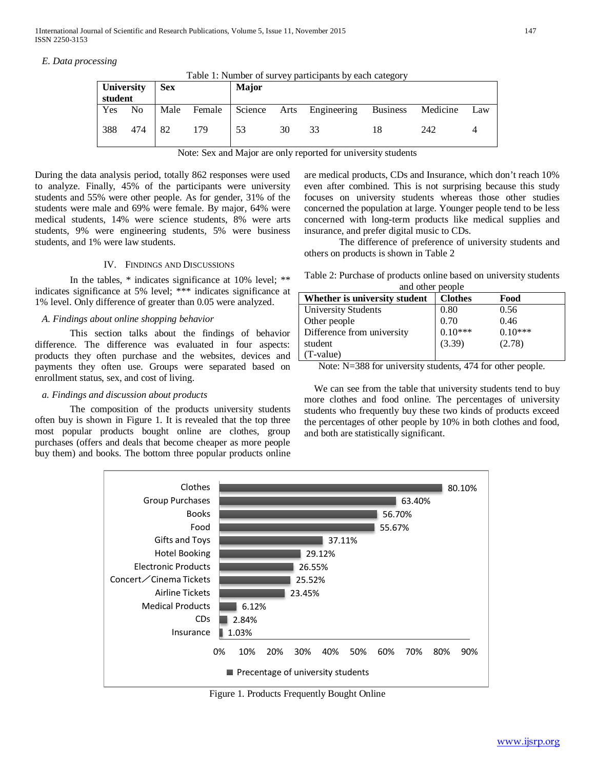## *E. Data processing*

Table 1: Number of survey participants by each category

| University<br>student |                | <b>Sex</b> |        | Major |    |                          |                 |          |     |
|-----------------------|----------------|------------|--------|-------|----|--------------------------|-----------------|----------|-----|
| Yes                   | N <sub>o</sub> | Male       | Female |       |    | Science Arts Engineering | <b>Business</b> | Medicine | Law |
| 388                   | 474            | -82        | 179    | 53    | 30 | 33                       |                 | 242      |     |

|  |  |  |  |  | Note: Sex and Major are only reported for university students |
|--|--|--|--|--|---------------------------------------------------------------|
|  |  |  |  |  |                                                               |

During the data analysis period, totally 862 responses were used to analyze. Finally, 45% of the participants were university students and 55% were other people. As for gender, 31% of the students were male and 69% were female. By major, 64% were medical students, 14% were science students, 8% were arts students, 9% were engineering students, 5% were business students, and 1% were law students.

#### IV. FINDINGS AND DISCUSSIONS

In the tables, \* indicates significance at 10% level; \*\* indicates significance at 5% level; \*\*\* indicates significance at 1% level. Only difference of greater than 0.05 were analyzed.

### *A. Findings about online shopping behavior*

This section talks about the findings of behavior difference. The difference was evaluated in four aspects: products they often purchase and the websites, devices and payments they often use. Groups were separated based on enrollment status, sex, and cost of living.

# *a. Findings and discussion about products*

The composition of the products university students often buy is shown in Figure 1. It is revealed that the top three most popular products bought online are clothes, group purchases (offers and deals that become cheaper as more people buy them) and books. The bottom three popular products online are medical products, CDs and Insurance, which don't reach 10% even after combined. This is not surprising because this study focuses on university students whereas those other studies concerned the population at large. Younger people tend to be less concerned with long-term products like medical supplies and insurance, and prefer digital music to CDs.

The difference of preference of university students and others on products is shown in Table 2

Table 2: Purchase of products online based on university students and other people

| Whether is university student | <b>Clothes</b> | Food      |
|-------------------------------|----------------|-----------|
| <b>University Students</b>    | 0.80           | 0.56      |
| Other people                  | 0.70           | 0.46      |
| Difference from university    | $0.10***$      | $0.10***$ |
| student                       | (3.39)         | (2.78)    |
| (T-value)                     |                |           |

Note: N=388 for university students, 474 for other people.

We can see from the table that university students tend to buy more clothes and food online. The percentages of university students who frequently buy these two kinds of products exceed the percentages of other people by 10% in both clothes and food, and both are statistically significant.



Figure 1. Products Frequently Bought Online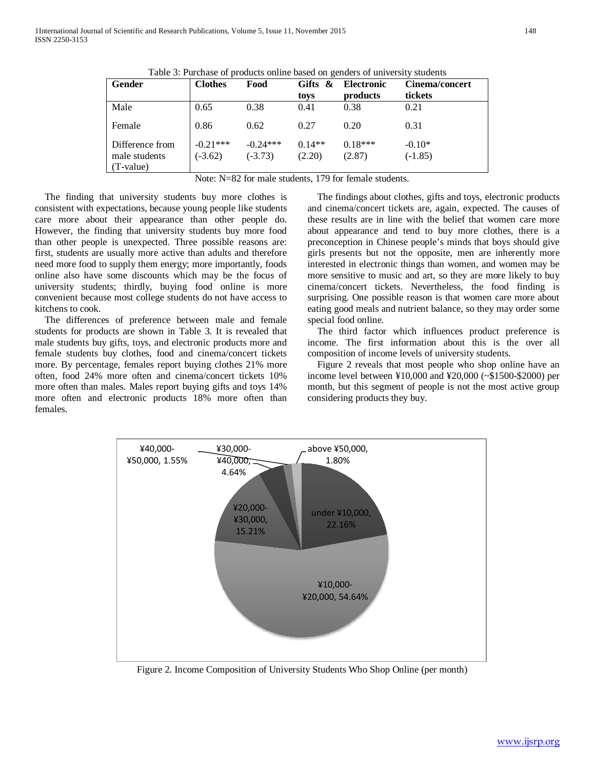| Gender                                          | <b>Clothes</b>          | Food                    | Gifts $\&$<br>toys | <b>Electronic</b><br>products | Cinema/concert<br>tickets |
|-------------------------------------------------|-------------------------|-------------------------|--------------------|-------------------------------|---------------------------|
| Male                                            | 0.65                    | 0.38                    | 0.41               | 0.38                          | 0.21                      |
| Female                                          | 0.86                    | 0.62                    | 0.27               | 0.20                          | 0.31                      |
| Difference from<br>male students<br>$(T-value)$ | $-0.21***$<br>$(-3.62)$ | $-0.24***$<br>$(-3.73)$ | $0.14**$<br>(2.20) | $0.18***$<br>(2.87)           | $-0.10*$<br>$(-1.85)$     |

Table 3: Purchase of products online based on genders of university students

Note: N=82 for male students, 179 for female students.

The finding that university students buy more clothes is consistent with expectations, because young people like students care more about their appearance than other people do. However, the finding that university students buy more food than other people is unexpected. Three possible reasons are: first, students are usually more active than adults and therefore need more food to supply them energy; more importantly, foods online also have some discounts which may be the focus of university students; thirdly, buying food online is more convenient because most college students do not have access to kitchens to cook.

The differences of preference between male and female students for products are shown in Table 3. It is revealed that male students buy gifts, toys, and electronic products more and female students buy clothes, food and cinema/concert tickets more. By percentage, females report buying clothes 21% more often, food 24% more often and cinema/concert tickets 10% more often than males. Males report buying gifts and toys 14% more often and electronic products 18% more often than females.

The findings about clothes, gifts and toys, electronic products and cinema/concert tickets are, again, expected. The causes of these results are in line with the belief that women care more about appearance and tend to buy more clothes, there is a preconception in Chinese people's minds that boys should give girls presents but not the opposite, men are inherently more interested in electronic things than women, and women may be more sensitive to music and art, so they are more likely to buy cinema/concert tickets. Nevertheless, the food finding is surprising. One possible reason is that women care more about eating good meals and nutrient balance, so they may order some special food online.

The third factor which influences product preference is income. The first information about this is the over all composition of income levels of university students.

Figure 2 reveals that most people who shop online have an income level between ¥10,000 and ¥20,000 (~\$1500-\$2000) per month, but this segment of people is not the most active group considering products they buy.



Figure 2. Income Composition of University Students Who Shop Online (per month)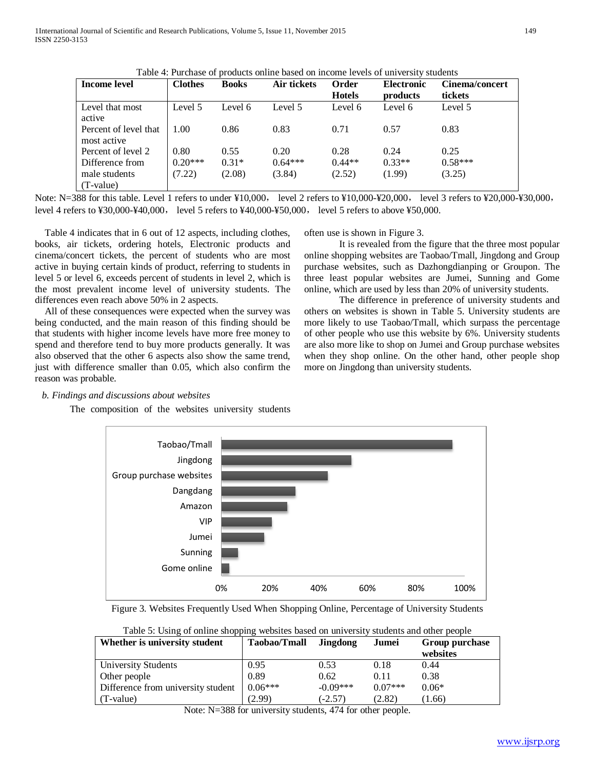|                                      |                |              | Table 4. I dictiase of products billine based on income fevers of university students |               |                   |                       |
|--------------------------------------|----------------|--------------|---------------------------------------------------------------------------------------|---------------|-------------------|-----------------------|
| Income level                         | <b>Clothes</b> | <b>Books</b> | Air tickets                                                                           | Order         | <b>Electronic</b> | <b>Cinema/concert</b> |
|                                      |                |              |                                                                                       | <b>Hotels</b> | products          | tickets               |
| Level that most<br>active            | Level 5        | Level 6      | Level 5                                                                               | Level 6       | Level 6           | Level 5               |
| Percent of level that<br>most active | 1.00           | 0.86         | 0.83                                                                                  | 0.71          | 0.57              | 0.83                  |
| Percent of level 2                   | 0.80           | 0.55         | 0.20                                                                                  | 0.28          | 0.24              | 0.25                  |
| Difference from                      | $0.20***$      | $0.31*$      | $0.64***$                                                                             | $0.44**$      | $0.33**$          | $0.58***$             |
| male students                        | (7.22)         | (2.08)       | (3.84)                                                                                | (2.52)        | (1.99)            | (3.25)                |
| (T-value)                            |                |              |                                                                                       |               |                   |                       |

Table 4: Purchase of products online based on income levels of university students

Note: N=388 for this table. Level 1 refers to under ¥10,000, level 2 refers to ¥10,000-¥20,000, level 3 refers to ¥20,000-¥30,000, level 4 refers to ¥30,000-¥40,000, level 5 refers to ¥40,000-¥50,000, level 5 refers to above ¥50,000.

Table 4 indicates that in 6 out of 12 aspects, including clothes, books, air tickets, ordering hotels, Electronic products and cinema/concert tickets, the percent of students who are most active in buying certain kinds of product, referring to students in level 5 or level 6, exceeds percent of students in level 2, which is the most prevalent income level of university students. The differences even reach above 50% in 2 aspects.

All of these consequences were expected when the survey was being conducted, and the main reason of this finding should be that students with higher income levels have more free money to spend and therefore tend to buy more products generally. It was also observed that the other 6 aspects also show the same trend, just with difference smaller than 0.05, which also confirm the reason was probable.

*b. Findings and discussions about websites*

The composition of the websites university students

often use is shown in Figure 3.

It is revealed from the figure that the three most popular online shopping websites are Taobao/Tmall, Jingdong and Group purchase websites, such as Dazhongdianping or Groupon. The three least popular websites are Jumei, Sunning and Gome online, which are used by less than 20% of university students.

The difference in preference of university students and others on websites is shown in Table 5. University students are more likely to use Taobao/Tmall, which surpass the percentage of other people who use this website by 6%. University students are also more like to shop on Jumei and Group purchase websites when they shop online. On the other hand, other people shop more on Jingdong than university students.



Figure 3. Websites Frequently Used When Shopping Online, Percentage of University Students

| Table 5: Using of online shopping websites based on university students and other people |                     |                 |           |                |  |  |
|------------------------------------------------------------------------------------------|---------------------|-----------------|-----------|----------------|--|--|
| Whether is university student                                                            | <b>Taobao/Tmall</b> | <b>Jingdong</b> | Jumei     | Group purchase |  |  |
|                                                                                          |                     |                 |           | websites       |  |  |
| <b>University Students</b>                                                               | 0.95                | 0.53            | 0.18      | 0.44           |  |  |
| Other people                                                                             | 0.89                | 0.62            | 0.11      | 0.38           |  |  |
| Difference from university student                                                       | $0.06***$           | $-0.09***$      | $0.07***$ | $0.06*$        |  |  |
| (T-value)                                                                                | (2.99)              | $(-2.57)$       | (2.82)    | (1.66)         |  |  |

Table 5: Using of online shopping websites based on university students and other people

Note: N=388 for university students, 474 for other people.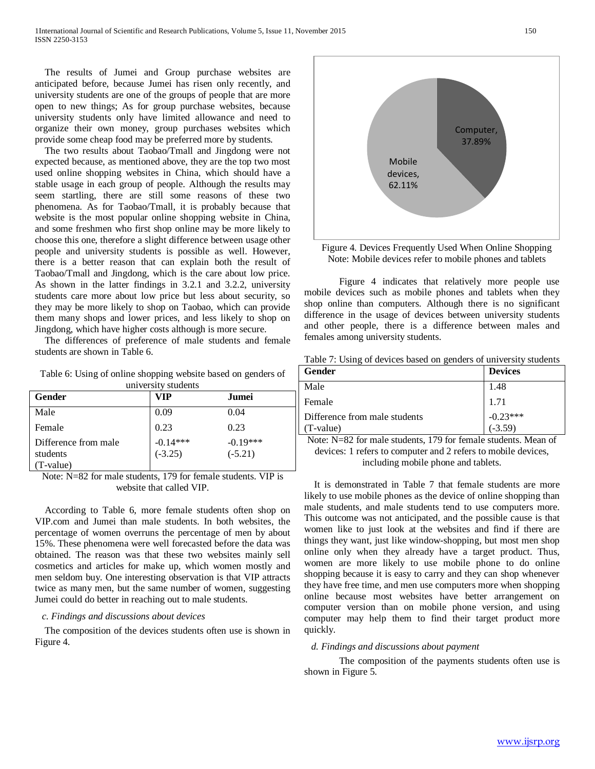The results of Jumei and Group purchase websites are anticipated before, because Jumei has risen only recently, and university students are one of the groups of people that are more open to new things; As for group purchase websites, because university students only have limited allowance and need to organize their own money, group purchases websites which provide some cheap food may be preferred more by students.

The two results about Taobao/Tmall and Jingdong were not expected because, as mentioned above, they are the top two most used online shopping websites in China, which should have a stable usage in each group of people. Although the results may seem startling, there are still some reasons of these two phenomena. As for Taobao/Tmall, it is probably because that website is the most popular online shopping website in China, and some freshmen who first shop online may be more likely to choose this one, therefore a slight difference between usage other people and university students is possible as well. However, there is a better reason that can explain both the result of Taobao/Tmall and Jingdong, which is the care about low price. As shown in the latter findings in 3.2.1 and 3.2.2, university students care more about low price but less about security, so they may be more likely to shop on Taobao, which can provide them many shops and lower prices, and less likely to shop on Jingdong, which have higher costs although is more secure.

The differences of preference of male students and female students are shown in Table 6.

Table 6: Using of online shopping website based on genders of university students

| Gender                                        | VIP                     | Jumei                   |  |
|-----------------------------------------------|-------------------------|-------------------------|--|
| Male                                          | 0.09                    | 0.04                    |  |
| Female                                        | 0.23                    | 0.23                    |  |
| Difference from male<br>students<br>(T-value) | $-0.14***$<br>$(-3.25)$ | $-0.19***$<br>$(-5.21)$ |  |

Note: N=82 for male students, 179 for female students. VIP is website that called VIP.

According to Table 6, more female students often shop on VIP.com and Jumei than male students. In both websites, the percentage of women overruns the percentage of men by about 15%. These phenomena were well forecasted before the data was obtained. The reason was that these two websites mainly sell cosmetics and articles for make up, which women mostly and men seldom buy. One interesting observation is that VIP attracts twice as many men, but the same number of women, suggesting Jumei could do better in reaching out to male students.

## *c. Findings and discussions about devices*

The composition of the devices students often use is shown in Figure 4.



Figure 4. Devices Frequently Used When Online Shopping Note: Mobile devices refer to mobile phones and tablets

Figure 4 indicates that relatively more people use mobile devices such as mobile phones and tablets when they shop online than computers. Although there is no significant difference in the usage of devices between university students and other people, there is a difference between males and females among university students.

Table 7: Using of devices based on genders of university students

| Gender                                     | <b>Devices</b>          |
|--------------------------------------------|-------------------------|
| Male                                       | 1.48                    |
| Female                                     | 1.71                    |
| Difference from male students<br>(T-value) | $-0.23***$<br>$(-3.59)$ |

Note: N=82 for male students, 179 for female students. Mean of devices: 1 refers to computer and 2 refers to mobile devices, including mobile phone and tablets.

It is demonstrated in Table 7 that female students are more likely to use mobile phones as the device of online shopping than male students, and male students tend to use computers more. This outcome was not anticipated, and the possible cause is that women like to just look at the websites and find if there are things they want, just like window-shopping, but most men shop online only when they already have a target product. Thus, women are more likely to use mobile phone to do online shopping because it is easy to carry and they can shop whenever they have free time, and men use computers more when shopping online because most websites have better arrangement on computer version than on mobile phone version, and using computer may help them to find their target product more quickly.

## *d. Findings and discussions about payment*

The composition of the payments students often use is shown in Figure 5.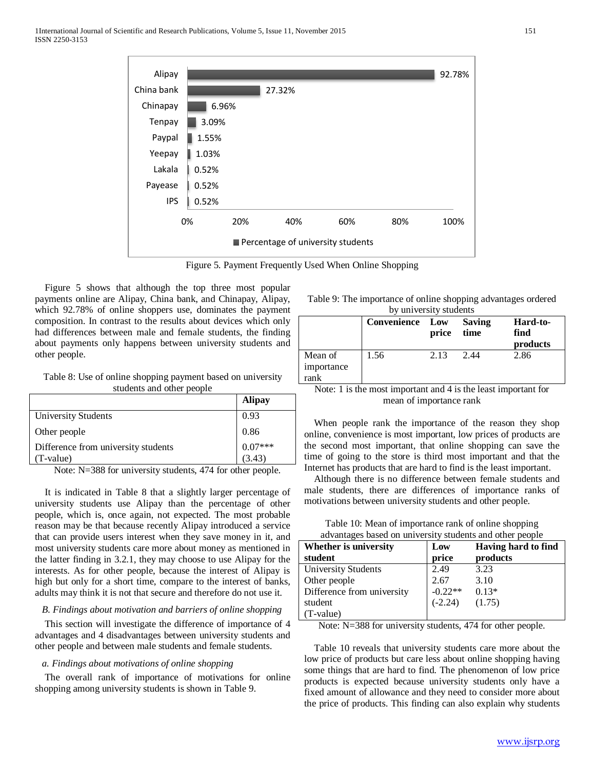| Alipay                            |       |     |        |     |     | 92.78% |
|-----------------------------------|-------|-----|--------|-----|-----|--------|
| China bank                        |       |     | 27.32% |     |     |        |
| Chinapay                          | 6.96% |     |        |     |     |        |
| Tenpay                            | 3.09% |     |        |     |     |        |
| Paypal                            | 1.55% |     |        |     |     |        |
| Yeepay                            | 1.03% |     |        |     |     |        |
| Lakala                            | 0.52% |     |        |     |     |        |
| Payease                           | 0.52% |     |        |     |     |        |
| <b>IPS</b>                        | 0.52% |     |        |     |     |        |
|                                   | 0%    | 20% | 40%    | 60% | 80% | 100%   |
| Percentage of university students |       |     |        |     |     |        |

Figure 5. Payment Frequently Used When Online Shopping

Figure 5 shows that although the top three most popular payments online are Alipay, China bank, and Chinapay, Alipay, which 92.78% of online shoppers use, dominates the payment composition. In contrast to the results about devices which only had differences between male and female students, the finding about payments only happens between university students and other people.

Table 8: Use of online shopping payment based on university students and other people

|                                                  | <b>Alipay</b> |
|--------------------------------------------------|---------------|
| <b>University Students</b>                       | 0.93          |
| Other people                                     | 0.86          |
| Difference from university students<br>(T-value) | (3.43)        |
|                                                  |               |

Note: N=388 for university students, 474 for other people.

It is indicated in Table 8 that a slightly larger percentage of university students use Alipay than the percentage of other people, which is, once again, not expected. The most probable reason may be that because recently Alipay introduced a service that can provide users interest when they save money in it, and most university students care more about money as mentioned in the latter finding in 3.2.1, they may choose to use Alipay for the interests. As for other people, because the interest of Alipay is high but only for a short time, compare to the interest of banks, adults may think it is not that secure and therefore do not use it.

## *B. Findings about motivation and barriers of online shopping*

This section will investigate the difference of importance of 4 advantages and 4 disadvantages between university students and other people and between male students and female students.

#### *a. Findings about motivations of online shopping*

The overall rank of importance of motivations for online shopping among university students is shown in Table 9.

Table 9: The importance of online shopping advantages ordered by university students

|                               | Uy university students<br><b>Convenience Low</b> | price | <b>Saving</b><br>time | Hard-to-<br>find<br>products |
|-------------------------------|--------------------------------------------------|-------|-----------------------|------------------------------|
| Mean of<br>importance<br>rank | 1.56                                             | 2.13  | 2.44                  | 2.86                         |

Note: 1 is the most important and 4 is the least important for mean of importance rank

When people rank the importance of the reason they shop online, convenience is most important, low prices of products are the second most important, that online shopping can save the time of going to the store is third most important and that the Internet has products that are hard to find is the least important.

Although there is no difference between female students and male students, there are differences of importance ranks of motivations between university students and other people.

Table 10: Mean of importance rank of online shopping advantages based on university students and other people

| au ranages sasca on am refort; stauents and stret people |           |                     |
|----------------------------------------------------------|-----------|---------------------|
| Whether is university                                    | Low       | Having hard to find |
| student                                                  | price     | products            |
| <b>University Students</b>                               | 2.49      | 3.23                |
| Other people                                             | 2.67      | 3.10                |
| Difference from university                               | $-0.22**$ | $0.13*$             |
| student                                                  | $(-2.24)$ | (1.75)              |
| (T-value)                                                |           |                     |

Note: N=388 for university students, 474 for other people.

Table 10 reveals that university students care more about the low price of products but care less about online shopping having some things that are hard to find. The phenomenon of low price products is expected because university students only have a fixed amount of allowance and they need to consider more about the price of products. This finding can also explain why students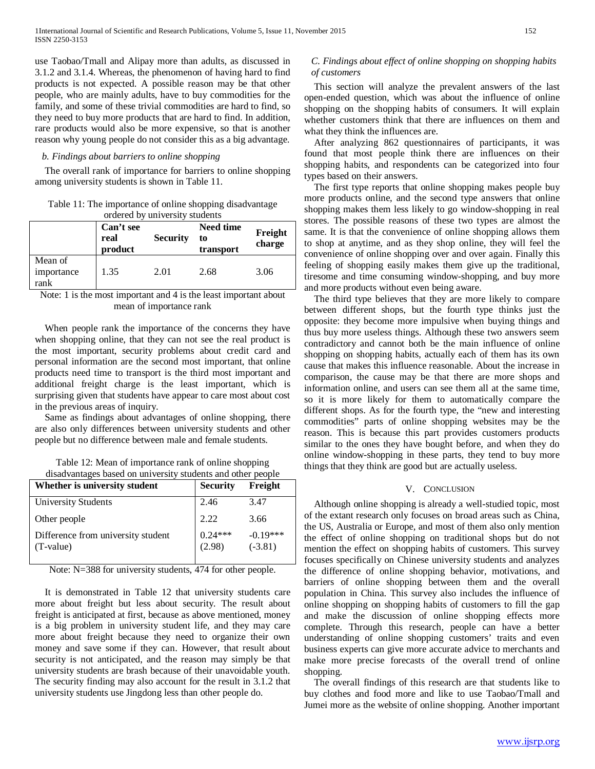use Taobao/Tmall and Alipay more than adults, as discussed in 3.1.2 and 3.1.4. Whereas, the phenomenon of having hard to find products is not expected. A possible reason may be that other people, who are mainly adults, have to buy commodities for the family, and some of these trivial commodities are hard to find, so they need to buy more products that are hard to find. In addition, rare products would also be more expensive, so that is another reason why young people do not consider this as a big advantage.

## *b. Findings about barriers to online shopping*

The overall rank of importance for barriers to online shopping among university students is shown in Table 11.

Table 11: The importance of online shopping disadvantage ordered by university students

|                               | Can't see<br>real<br>product | <b>Security</b> | <b>Need time</b><br>to<br>transport | Freight<br>charge |
|-------------------------------|------------------------------|-----------------|-------------------------------------|-------------------|
| Mean of<br>importance<br>rank | 1.35                         | 2.01            | 2.68                                | 3.06              |

Note: 1 is the most important and 4 is the least important about mean of importance rank

When people rank the importance of the concerns they have when shopping online, that they can not see the real product is the most important, security problems about credit card and personal information are the second most important, that online products need time to transport is the third most important and additional freight charge is the least important, which is surprising given that students have appear to care most about cost in the previous areas of inquiry.

Same as findings about advantages of online shopping, there are also only differences between university students and other people but no difference between male and female students.

Table 12: Mean of importance rank of online shopping disadvantages based on university students and other people

| Whether is university student                   | <b>Security</b>     | Freight                 |
|-------------------------------------------------|---------------------|-------------------------|
| <b>University Students</b>                      | 2.46                | 3.47                    |
| Other people                                    | 2.22                | 3.66                    |
| Difference from university student<br>(T-value) | $0.24***$<br>(2.98) | $-0.19***$<br>$(-3.81)$ |

Note: N=388 for university students, 474 for other people.

It is demonstrated in Table 12 that university students care more about freight but less about security. The result about freight is anticipated at first, because as above mentioned, money is a big problem in university student life, and they may care more about freight because they need to organize their own money and save some if they can. However, that result about security is not anticipated, and the reason may simply be that university students are brash because of their unavoidable youth. The security finding may also account for the result in 3.1.2 that university students use Jingdong less than other people do.

# *C. Findings about effect of online shopping on shopping habits of customers*

This section will analyze the prevalent answers of the last open-ended question, which was about the influence of online shopping on the shopping habits of consumers. It will explain whether customers think that there are influences on them and what they think the influences are.

After analyzing 862 questionnaires of participants, it was found that most people think there are influences on their shopping habits, and respondents can be categorized into four types based on their answers.

The first type reports that online shopping makes people buy more products online, and the second type answers that online shopping makes them less likely to go window-shopping in real stores. The possible reasons of these two types are almost the same. It is that the convenience of online shopping allows them to shop at anytime, and as they shop online, they will feel the convenience of online shopping over and over again. Finally this feeling of shopping easily makes them give up the traditional, tiresome and time consuming window-shopping, and buy more and more products without even being aware.

The third type believes that they are more likely to compare between different shops, but the fourth type thinks just the opposite: they become more impulsive when buying things and thus buy more useless things. Although these two answers seem contradictory and cannot both be the main influence of online shopping on shopping habits, actually each of them has its own cause that makes this influence reasonable. About the increase in comparison, the cause may be that there are more shops and information online, and users can see them all at the same time, so it is more likely for them to automatically compare the different shops. As for the fourth type, the "new and interesting commodities" parts of online shopping websites may be the reason. This is because this part provides customers products similar to the ones they have bought before, and when they do online window-shopping in these parts, they tend to buy more things that they think are good but are actually useless.

## V. CONCLUSION

Although online shopping is already a well-studied topic, most of the extant research only focuses on broad areas such as China, the US, Australia or Europe, and most of them also only mention the effect of online shopping on traditional shops but do not mention the effect on shopping habits of customers. This survey focuses specifically on Chinese university students and analyzes the difference of online shopping behavior, motivations, and barriers of online shopping between them and the overall population in China. This survey also includes the influence of online shopping on shopping habits of customers to fill the gap and make the discussion of online shopping effects more complete. Through this research, people can have a better understanding of online shopping customers' traits and even business experts can give more accurate advice to merchants and make more precise forecasts of the overall trend of online shopping.

The overall findings of this research are that students like to buy clothes and food more and like to use Taobao/Tmall and Jumei more as the website of online shopping. Another important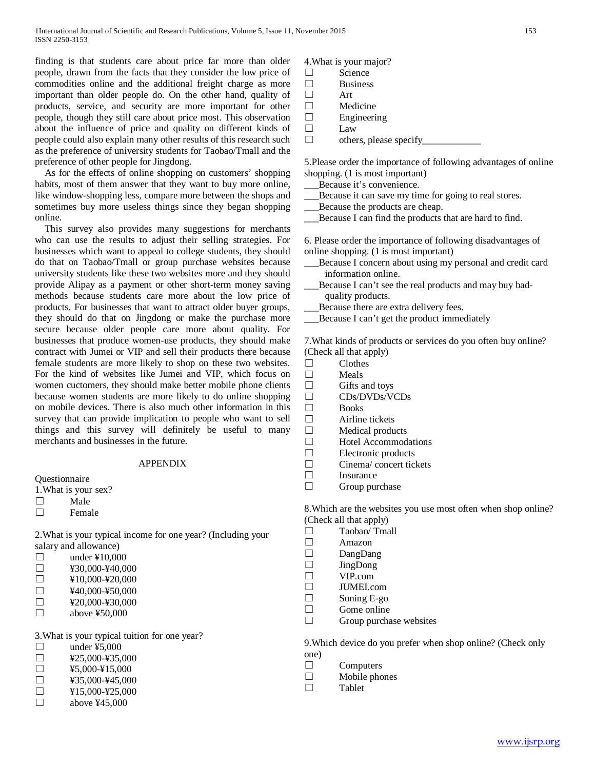finding is that students care about price far more than older people, drawn from the facts that they consider the low price of commodities online and the additional freight charge as more important than older people do. On the other hand, quality of products, service, and security are more important for other people, though they still care about price most. This observation about the influence of price and quality on different kinds of people could also explain many other results of this research such as the preference of university students for Taobao/Tmall and the preference of other people for Jingdong.

As for the effects of online shopping on customers' shopping habits, most of them answer that they want to buy more online, like window-shopping less, compare more between the shops and sometimes buy more useless things since they began shopping online.

This survey also provides many suggestions for merchants who can use the results to adjust their selling strategies. For businesses which want to appeal to college students, they should do that on Taobao/Tmall or group purchase websites because university students like these two websites more and they should provide Alipay as a payment or other short-term money saving methods because students care more about the low price of products. For businesses that want to attract older buyer groups, they should do that on Jingdong or make the purchase more secure because older people care more about quality. For businesses that produce women-use products, they should make contract with Jumei or VIP and sell their products there because female students are more likely to shop on these two websites. For the kind of websites like Jumei and VIP, which focus on women cuctomers, they should make better mobile phone clients because women students are more likely to do online shopping on mobile devices. There is also much other information in this survey that can provide implication to people who want to sell things and this survey will definitely be useful to many merchants and businesses in the future.

#### APPENDIX

Questionnaire

- 1.What is your sex?
- ☐ Male
- **Female**

2.What is your typical income for one year? (Including your salary and allowance)

| $\perp$      | under $\text{\textsterling}10,000$ |
|--------------|------------------------------------|
| $\perp$      | ¥30,000-¥40,000                    |
| $\mathbf{L}$ | ¥10,000-¥20,000                    |

| П | ¥40,000-¥50,000 |
|---|-----------------|
| − | waa aan wan aan |

- $\square$  ¥20,000-¥30,000
- $\Box$  above ¥50,000

3.What is your typical tuition for one year?

| $\mathsf{L}$ | under $45,000$  |
|--------------|-----------------|
| $\perp$      | ¥25,000-¥35,000 |
| $\perp$      | ¥5.000-¥15.000  |
| $\perp$      | ¥35,000-¥45,000 |
| П            | ¥15,000-¥25,000 |
| $\Box$       | above $445,000$ |
|              |                 |

4.What is your major?

- ☐ Science ☐ Business
- 
- ☐ Art
- ☐ Medicine □ Engineering<br>□ Law
- □ Law<br>□ other
- ☐ others, please specify\_\_\_\_\_\_\_\_\_\_\_\_

5.Please order the importance of following advantages of online shopping. (1 is most important)

- \_\_\_Because it's convenience.
- Because it can save my time for going to real stores.
- Because the products are cheap.
- \_\_\_Because I can find the products that are hard to find.

6. Please order the importance of following disadvantages of online shopping. (1 is most important)

- Because I concern about using my personal and credit card information online.
- Because I can't see the real products and may buy badquality products.
- Because there are extra delivery fees.
- \_\_\_Because I can't get the product immediately

7.What kinds of products or services do you often buy online? (Check all that apply)

- ☐ Clothes
- $\Box$  Meals
- Gifts and toys
- ☐ CDs/DVDs/VCDs
- $\Box$  Books<br> $\Box$  Airline
- Airline tickets
- $□$  Medical products
- ☐ Hotel Accommodations
- ☐ Electronic products
- $\Box$  Cinema/ concert tickets
- **Insurance**
- $\Box$  Group purchase

8.Which are the websites you use most often when shop online? (Check all that apply)

- $\Box$  Taobao/ Tmall
- ☐ Amazon
- ☐ DangDang
- ☐ JingDong
- ☐ VIP.com
- 
- $\Box$  JUMEI.com
- $\Box$  Suning E-go Gome online  $\Box$  Gome online
- Group purchase websites

9.Which device do you prefer when shop online? (Check only one)

- ☐ Computers
- $\Box$  Mobile phones<br> $\Box$  Tablet
- **Tablet**